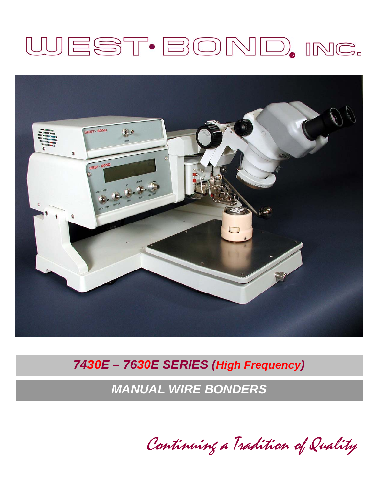# WEST·BOND, INC.



## 7430E - 7630E SERIES (High Frequency)

**MANUAL WIRE BONDERS** 

Continuing a Tradition of Quality